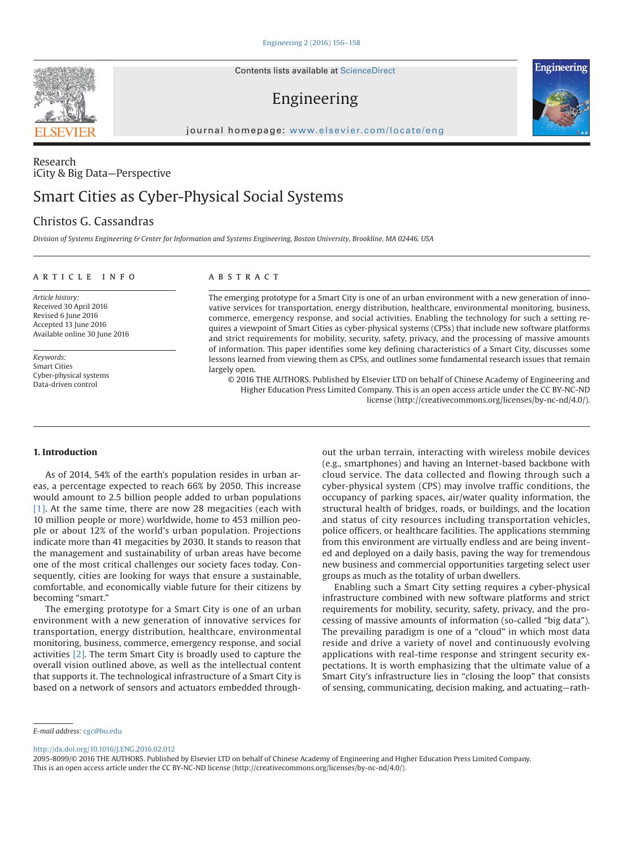Contents lists available at ScienceDirect

# Engineering

journal homepage: www.elsevier.com/locate/eng



# Smart Cities as Cyber-Physical Social Systems

### Christos G. Cassandras

*Division of Systems Engineering & Center for Information and Systems Engineering, Boston University, Brookline, MA 02446, USA*

### A R T I C L E I N F O A B S T R A C T

*Article history:* Received 30 April 2016 Revised 6 June 2016 Accepted 13 June 2016 Available online 30 June 2016

*Keywords:* Smart Cities Cyber-physical systems Data-driven control

The emerging prototype for a Smart City is one of an urban environment with a new generation of innovative services for transportation, energy distribution, healthcare, environmental monitoring, business, commerce, emergency response, and social activities. Enabling the technology for such a setting requires a viewpoint of Smart Cities as cyber-physical systems (CPSs) that include new software platforms and strict requirements for mobility, security, safety, privacy, and the processing of massive amounts of information. This paper identifies some key defining characteristics of a Smart City, discusses some lessons learned from viewing them as CPSs, and outlines some fundamental research issues that remain largely open.

© 2016 THE AUTHORS. Published by Elsevier LTD on behalf of Chinese Academy of Engineering and Higher Education Press Limited Company. This is an open access article under the CC BY-NC-ND license (http://creativecommons.org/licenses/by-nc-nd/4.0/).

#### **1. Introduction**

As of 2014, 54% of the earth's population resides in urban areas, a percentage expected to reach 66% by 2050. This increase would amount to 2.5 billion people added to urban populations [1]. At the same time, there are now 28 megacities (each with 10 million people or more) worldwide, home to 453 million people or about 12% of the world's urban population. Projections indicate more than 41 megacities by 2030. It stands to reason that the management and sustainability of urban areas have become one of the most critical challenges our society faces today. Consequently, cities are looking for ways that ensure a sustainable, comfortable, and economically viable future for their citizens by becoming "smart."

The emerging prototype for a Smart City is one of an urban environment with a new generation of innovative services for transportation, energy distribution, healthcare, environmental monitoring, business, commerce, emergency response, and social activities [2]. The term Smart City is broadly used to capture the overall vision outlined above, as well as the intellectual content that supports it. The technological infrastructure of a Smart City is based on a network of sensors and actuators embedded throughout the urban terrain, interacting with wireless mobile devices (e.g., smartphones) and having an Internet-based backbone with cloud service. The data collected and flowing through such a cyber-physical system (CPS) may involve traffic conditions, the occupancy of parking spaces, air/water quality information, the structural health of bridges, roads, or buildings, and the location and status of city resources including transportation vehicles, police officers, or healthcare facilities. The applications stemming from this environment are virtually endless and are being invented and deployed on a daily basis, paving the way for tremendous new business and commercial opportunities targeting select user groups as much as the totality of urban dwellers.

Enabling such a Smart City setting requires a cyber-physical infrastructure combined with new software platforms and strict requirements for mobility, security, safety, privacy, and the processing of massive amounts of information (so-called "big data"). The prevailing paradigm is one of a "cloud" in which most data reside and drive a variety of novel and continuously evolving applications with real-time response and stringent security expectations. It is worth emphasizing that the ultimate value of a Smart City's infrastructure lies in "closing the loop" that consists of sensing, communicating, decision making, and actuating—rath-

http://dx.doi.org/10.1016/J.ENG.2016.02.012





*E-mail address:* cgc@bu.edu

<sup>2095-8099/© 2016</sup> THE AUTHORS. Published by Elsevier LTD on behalf of Chinese Academy of Engineering and Higher Education Press Limited Company. This is an open access article under the CC BY-NC-ND license (http://creativecommons.org/licenses/by-nc-nd/4.0/).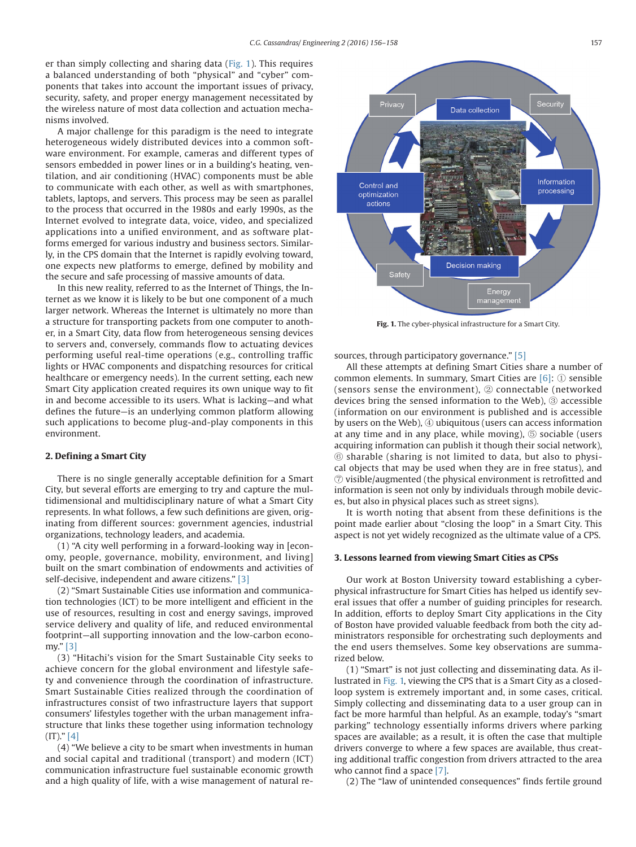er than simply collecting and sharing data (Fig. 1). This requires a balanced understanding of both "physical" and "cyber" components that takes into account the important issues of privacy, security, safety, and proper energy management necessitated by the wireless nature of most data collection and actuation mechanisms involved.

A major challenge for this paradigm is the need to integrate heterogeneous widely distributed devices into a common software environment. For example, cameras and different types of sensors embedded in power lines or in a building's heating, ventilation, and air conditioning (HVAC) components must be able to communicate with each other, as well as with smartphones, tablets, laptops, and servers. This process may be seen as parallel to the process that occurred in the 1980s and early 1990s, as the Internet evolved to integrate data, voice, video, and specialized applications into a unified environment, and as software platforms emerged for various industry and business sectors. Similarly, in the CPS domain that the Internet is rapidly evolving toward, one expects new platforms to emerge, defined by mobility and the secure and safe processing of massive amounts of data.

In this new reality, referred to as the Internet of Things, the Internet as we know it is likely to be but one component of a much larger network. Whereas the Internet is ultimately no more than a structure for transporting packets from one computer to another, in a Smart City, data flow from heterogeneous sensing devices to servers and, conversely, commands flow to actuating devices performing useful real-time operations (e.g., controlling traffic lights or HVAC components and dispatching resources for critical healthcare or emergency needs). In the current setting, each new Smart City application created requires its own unique way to fit in and become accessible to its users. What is lacking—and what defines the future—is an underlying common platform allowing such applications to become plug-and-play components in this environment.

### **2. Defining a Smart City**

There is no single generally acceptable definition for a Smart City, but several efforts are emerging to try and capture the multidimensional and multidisciplinary nature of what a Smart City represents. In what follows, a few such definitions are given, originating from different sources: government agencies, industrial organizations, technology leaders, and academia.

(1) "A city well performing in a forward-looking way in [economy, people, governance, mobility, environment, and living] built on the smart combination of endowments and activities of self-decisive, independent and aware citizens." [3]

(2) "Smart Sustainable Cities use information and communication technologies (ICT) to be more intelligent and efficient in the use of resources, resulting in cost and energy savings, improved service delivery and quality of life, and reduced environmental footprint—all supporting innovation and the low-carbon economy." [3]

(3) "Hitachi's vision for the Smart Sustainable City seeks to achieve concern for the global environment and lifestyle safety and convenience through the coordination of infrastructure. Smart Sustainable Cities realized through the coordination of infrastructures consist of two infrastructure layers that support consumers' lifestyles together with the urban management infrastructure that links these together using information technology  $(IT).$ " [4]

(4) "We believe a city to be smart when investments in human and social capital and traditional (transport) and modern (ICT) communication infrastructure fuel sustainable economic growth and a high quality of life, with a wise management of natural re-



**Fig. 1.** The cyber-physical infrastructure for a Smart City.

sources, through participatory governance." [5]

All these attempts at defining Smart Cities share a number of common elements. In summary, Smart Cities are [6]: ① sensible (sensors sense the environment), ② connectable (networked devices bring the sensed information to the Web), ③ accessible (information on our environment is published and is accessible by users on the Web), ④ ubiquitous (users can access information at any time and in any place, while moving), ⑤ sociable (users acquiring information can publish it though their social network), ⑥ sharable (sharing is not limited to data, but also to physical objects that may be used when they are in free status), and ⑦ visible/augmented (the physical environment is retrofitted and information is seen not only by individuals through mobile devices, but also in physical places such as street signs).

It is worth noting that absent from these definitions is the point made earlier about "closing the loop" in a Smart City. This aspect is not yet widely recognized as the ultimate value of a CPS.

#### **3. Lessons learned from viewing Smart Cities as CPSs**

Our work at Boston University toward establishing a cyberphysical infrastructure for Smart Cities has helped us identify several issues that offer a number of guiding principles for research. In addition, efforts to deploy Smart City applications in the City of Boston have provided valuable feedback from both the city administrators responsible for orchestrating such deployments and the end users themselves. Some key observations are summarized below.

(1) "Smart" is not just collecting and disseminating data. As illustrated in Fig. 1, viewing the CPS that is a Smart City as a closedloop system is extremely important and, in some cases, critical. Simply collecting and disseminating data to a user group can in fact be more harmful than helpful. As an example, today's "smart parking" technology essentially informs drivers where parking spaces are available; as a result, it is often the case that multiple drivers converge to where a few spaces are available, thus creating additional traffic congestion from drivers attracted to the area who cannot find a space [7].

(2) The "law of unintended consequences" finds fertile ground